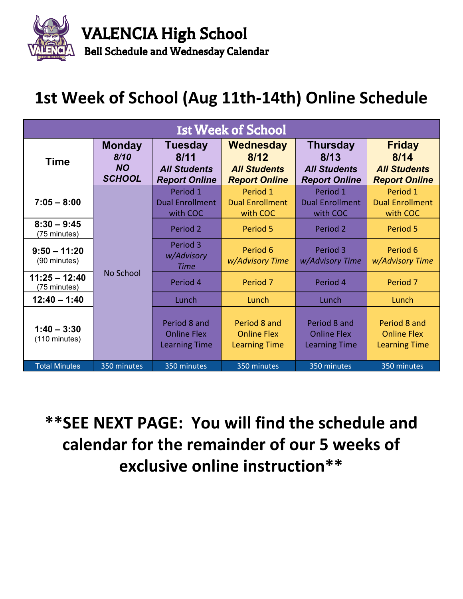

## **1st Week of School (Aug 11th-14th) Online Schedule**

| <b>Ist Week of School</b>                |                                                     |                                                                       |                                                                  |                                                                        |                                                                      |       |  |
|------------------------------------------|-----------------------------------------------------|-----------------------------------------------------------------------|------------------------------------------------------------------|------------------------------------------------------------------------|----------------------------------------------------------------------|-------|--|
| <b>Time</b>                              | <b>Monday</b><br>8/10<br><b>NO</b><br><b>SCHOOL</b> | <b>Tuesday</b><br>8/11<br><b>All Students</b><br><b>Report Online</b> | Wednesday<br>8/12<br><b>All Students</b><br><b>Report Online</b> | <b>Thursday</b><br>8/13<br><b>All Students</b><br><b>Report Online</b> | <b>Friday</b><br>8/14<br><b>All Students</b><br><b>Report Online</b> |       |  |
| $7:05 - 8:00$                            |                                                     | Period 1<br><b>Dual Enrollment</b><br>with COC                        | Period 1<br><b>Dual Enrollment</b><br>with COC                   | Period 1<br><b>Dual Enrollment</b><br>with COC                         | Period 1<br><b>Dual Enrollment</b><br>with COC                       |       |  |
| $8:30 - 9:45$<br>(75 minutes)            |                                                     | Period 2                                                              | Period 5                                                         | Period 2                                                               | Period 5                                                             |       |  |
| $9:50 - 11:20$<br>(90 minutes)           |                                                     | Period 3<br>w/Advisory<br><b>Time</b>                                 | Period 6<br>w/Advisory Time                                      | Period 3<br>w/Advisory Time                                            | Period 6<br>w/Advisory Time                                          |       |  |
| $11:25 - 12:40$<br>(75 minutes)          | No School                                           | Period 4                                                              | Period <sub>7</sub>                                              | Period 4                                                               | Period <sub>7</sub>                                                  |       |  |
| $12:40 - 1:40$                           |                                                     | Lunch                                                                 |                                                                  | Lunch                                                                  | Lunch                                                                | Lunch |  |
| $1:40 - 3:30$<br>$(110 \text{ minutes})$ |                                                     | Period 8 and<br><b>Online Flex</b><br><b>Learning Time</b>            | Period 8 and<br><b>Online Flex</b><br><b>Learning Time</b>       | Period 8 and<br><b>Online Flex</b><br><b>Learning Time</b>             | Period 8 and<br><b>Online Flex</b><br><b>Learning Time</b>           |       |  |
| <b>Total Minutes</b>                     | 350 minutes                                         | 350 minutes                                                           | 350 minutes                                                      | 350 minutes                                                            | 350 minutes                                                          |       |  |

## **\*\*SEE NEXT PAGE: You will find the schedule and calendar for the remainder of our 5 weeks of exclusive online instruction\*\***